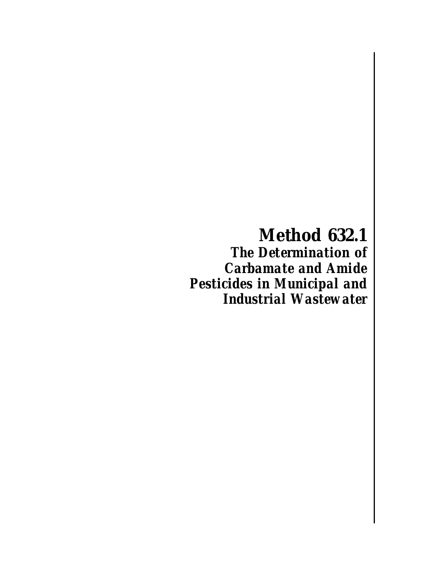**Method 632.1** *The Determination of Carbamate and Amide Pesticides in Municipal and Industrial Wastewater*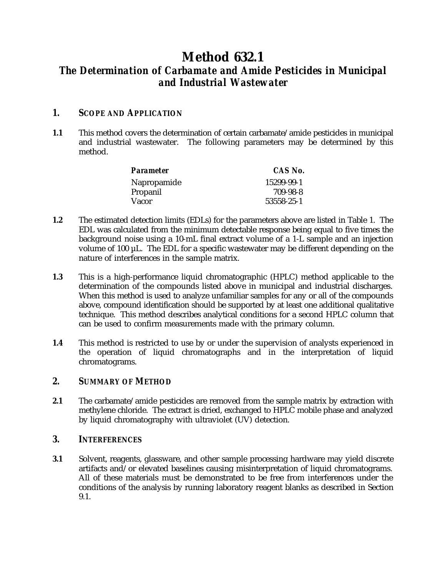# **Method 632.1** *The Determination of Carbamate and Amide Pesticides in Municipal and Industrial Wastewater*

# *1. SCOPE AND APPLICATION*

**1.1** This method covers the determination of certain carbamate/amide pesticides in municipal and industrial wastewater. The following parameters may be determined by this method.

| CAS No.    |
|------------|
| 15299-99-1 |
| 709-98-8   |
| 53558-25-1 |
|            |

- **1.2** The estimated detection limits (EDLs) for the parameters above are listed in Table 1. The EDL was calculated from the minimum detectable response being equal to five times the background noise using a 10-mL final extract volume of a 1-L sample and an injection volume of 100 µL. The EDL for a specific wastewater may be different depending on the nature of interferences in the sample matrix.
- **1.3** This is a high-performance liquid chromatographic (HPLC) method applicable to the determination of the compounds listed above in municipal and industrial discharges. When this method is used to analyze unfamiliar samples for any or all of the compounds above, compound identification should be supported by at least one additional qualitative technique. This method describes analytical conditions for a second HPLC column that can be used to confirm measurements made with the primary column.
- **1.4** This method is restricted to use by or under the supervision of analysts experienced in the operation of liquid chromatographs and in the interpretation of liquid chromatograms.

# *2. SUMMARY OF METHOD*

**2.1** The carbamate/amide pesticides are removed from the sample matrix by extraction with methylene chloride. The extract is dried, exchanged to HPLC mobile phase and analyzed by liquid chromatography with ultraviolet (UV) detection.

# *3. INTERFERENCES*

**3.1** Solvent, reagents, glassware, and other sample processing hardware may yield discrete artifacts and/or elevated baselines causing misinterpretation of liquid chromatograms. All of these materials must be demonstrated to be free from interferences under the conditions of the analysis by running laboratory reagent blanks as described in Section 9.1.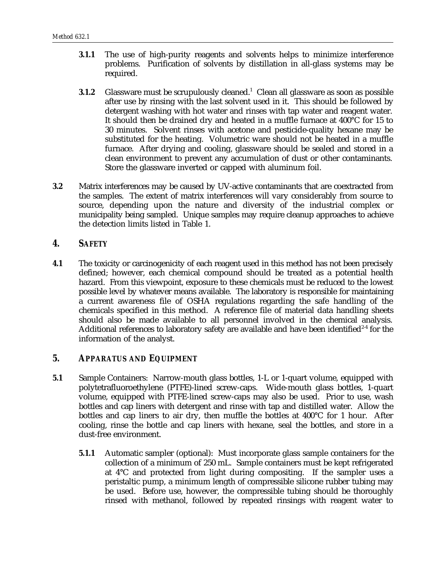- **3.1.1** The use of high-purity reagents and solvents helps to minimize interference problems. Purification of solvents by distillation in all-glass systems may be required.
- **3.1.2** Glassware must be scrupulously cleaned.<sup>1</sup> Clean all glassware as soon as possible after use by rinsing with the last solvent used in it. This should be followed by detergent washing with hot water and rinses with tap water and reagent water. It should then be drained dry and heated in a muffle furnace at 400°C for 15 to 30 minutes. Solvent rinses with acetone and pesticide-quality hexane may be substituted for the heating. Volumetric ware should not be heated in a muffle furnace. After drying and cooling, glassware should be sealed and stored in a clean environment to prevent any accumulation of dust or other contaminants. Store the glassware inverted or capped with aluminum foil.
- **3.2** Matrix interferences may be caused by UV-active contaminants that are coextracted from the samples. The extent of matrix interferences will vary considerably from source to source, depending upon the nature and diversity of the industrial complex or municipality being sampled. Unique samples may require cleanup approaches to achieve the detection limits listed in Table 1.

### *4. SAFETY*

**4.1** The toxicity or carcinogenicity of each reagent used in this method has not been precisely defined; however, each chemical compound should be treated as a potential health hazard. From this viewpoint, exposure to these chemicals must be reduced to the lowest possible level by whatever means available. The laboratory is responsible for maintaining a current awareness file of OSHA regulations regarding the safe handling of the chemicals specified in this method. A reference file of material data handling sheets should also be made available to all personnel involved in the chemical analysis. Additional references to laboratory safety are available and have been identified<sup> $2-4$ </sup> for the information of the analyst.

#### *5. APPARATUS AND EQUIPMENT*

- **5.1** Sample Containers: Narrow-mouth glass bottles, 1-L or 1-quart volume, equipped with polytetrafluoroethylene (PTFE)-lined screw-caps. Wide-mouth glass bottles, 1-quart volume, equipped with PTFE-lined screw-caps may also be used. Prior to use, wash bottles and cap liners with detergent and rinse with tap and distilled water. Allow the bottles and cap liners to air dry, then muffle the bottles at 400°C for 1 hour. After cooling, rinse the bottle and cap liners with hexane, seal the bottles, and store in a dust-free environment.
	- **5.1.1** Automatic sampler (optional): Must incorporate glass sample containers for the collection of a minimum of 250 mL. Sample containers must be kept refrigerated at 4°C and protected from light during compositing. If the sampler uses a peristaltic pump, a minimum length of compressible silicone rubber tubing may be used. Before use, however, the compressible tubing should be thoroughly rinsed with methanol, followed by repeated rinsings with reagent water to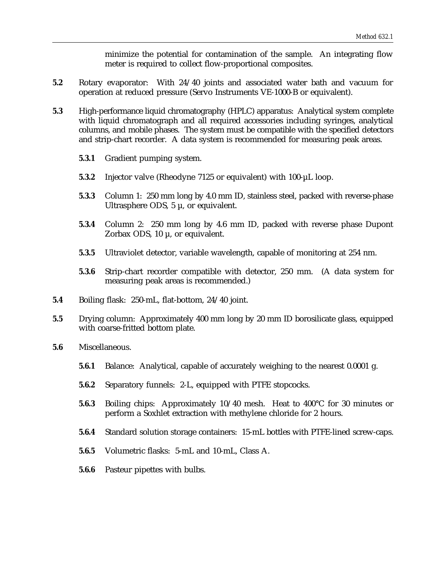minimize the potential for contamination of the sample. An integrating flow meter is required to collect flow-proportional composites.

- **5.2** Rotary evaporator: With 24/40 joints and associated water bath and vacuum for operation at reduced pressure (Servo Instruments VE-1000-B or equivalent).
- **5.3** High-performance liquid chromatography (HPLC) apparatus: Analytical system complete with liquid chromatograph and all required accessories including syringes, analytical columns, and mobile phases. The system must be compatible with the specified detectors and strip-chart recorder. A data system is recommended for measuring peak areas.
	- **5.3.1** Gradient pumping system.
	- **5.3.2** Injector valve (Rheodyne 7125 or equivalent) with 100-µL loop.
	- **5.3.3** Column 1: 250 mm long by 4.0 mm ID, stainless steel, packed with reverse-phase Ultrasphere ODS,  $5 \mu$ , or equivalent.
	- **5.3.4** Column 2: 250 mm long by 4.6 mm ID, packed with reverse phase Dupont Zorbax ODS, 10 µ, or equivalent.
	- **5.3.5** Ultraviolet detector, variable wavelength, capable of monitoring at 254 nm.
	- **5.3.6** Strip-chart recorder compatible with detector, 250 mm. (A data system for measuring peak areas is recommended.)
- **5.4** Boiling flask: 250-mL, flat-bottom, 24/40 joint.
- **5.5** Drying column: Approximately 400 mm long by 20 mm ID borosilicate glass, equipped with coarse-fritted bottom plate.
- **5.6** Miscellaneous.
	- **5.6.1** Balance: Analytical, capable of accurately weighing to the nearest 0.0001 g.
	- **5.6.2** Separatory funnels: 2-L, equipped with PTFE stopcocks.
	- **5.6.3** Boiling chips: Approximately 10/40 mesh. Heat to 400°C for 30 minutes or perform a Soxhlet extraction with methylene chloride for 2 hours.
	- **5.6.4** Standard solution storage containers: 15-mL bottles with PTFE-lined screw-caps.
	- **5.6.5** Volumetric flasks: 5-mL and 10-mL, Class A.
	- **5.6.6** Pasteur pipettes with bulbs.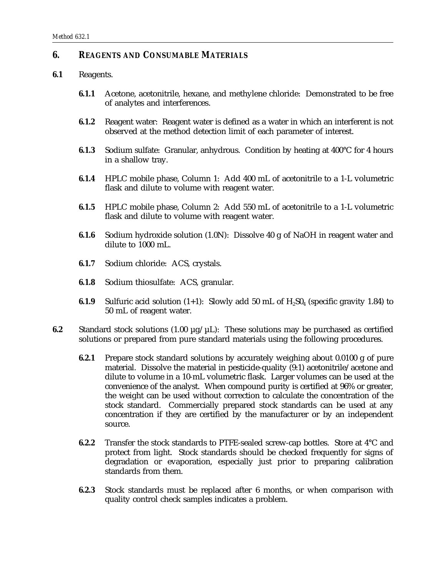### *6. REAGENTS AND CONSUMABLE MATERIALS*

#### **6.1** Reagents.

- **6.1.1** Acetone, acetonitrile, hexane, and methylene chloride: Demonstrated to be free of analytes and interferences.
- **6.1.2** Reagent water: Reagent water is defined as a water in which an interferent is not observed at the method detection limit of each parameter of interest.
- **6.1.3** Sodium sulfate: Granular, anhydrous. Condition by heating at 400°C for 4 hours in a shallow tray.
- **6.1.4** HPLC mobile phase, Column 1: Add 400 mL of acetonitrile to a 1-L volumetric flask and dilute to volume with reagent water.
- **6.1.5** HPLC mobile phase, Column 2: Add 550 mL of acetonitrile to a 1-L volumetric flask and dilute to volume with reagent water.
- **6.1.6** Sodium hydroxide solution (1.0N): Dissolve 40 g of NaOH in reagent water and dilute to 1000 mL.
- **6.1.7** Sodium chloride: ACS, crystals.
- **6.1.8** Sodium thiosulfate: ACS, granular.
- **6.1.9** Sulfuric acid solution  $(1+1)$ : Slowly add 50 mL of  $H<sub>2</sub>SO<sub>4</sub>$  (specific gravity 1.84) to 50 mL of reagent water.
- **6.2** Standard stock solutions  $(1.00 \mu g/\mu L)$ : These solutions may be purchased as certified solutions or prepared from pure standard materials using the following procedures.
	- **6.2.1** Prepare stock standard solutions by accurately weighing about 0.0100 g of pure material. Dissolve the material in pesticide-quality (9:1) acetonitrile/acetone and dilute to volume in a 10-mL volumetric flask. Larger volumes can be used at the convenience of the analyst. When compound purity is certified at 96% or greater, the weight can be used without correction to calculate the concentration of the stock standard. Commercially prepared stock standards can be used at any concentration if they are certified by the manufacturer or by an independent source.
	- **6.2.2** Transfer the stock standards to PTFE-sealed screw-cap bottles. Store at 4°C and protect from light. Stock standards should be checked frequently for signs of degradation or evaporation, especially just prior to preparing calibration standards from them.
	- **6.2.3** Stock standards must be replaced after 6 months, or when comparison with quality control check samples indicates a problem.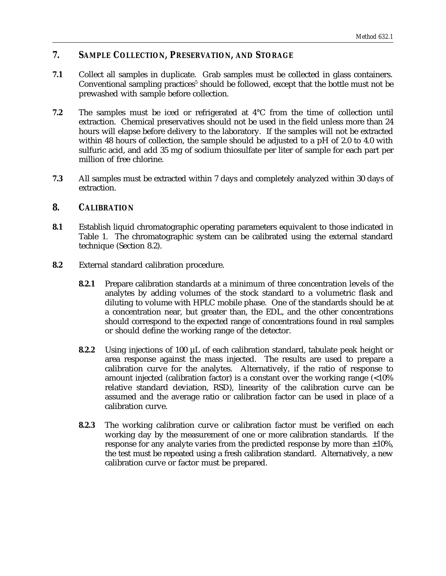# *7. SAMPLE COLLECTION, PRESERVATION, AND STORAGE*

- **7.1** Collect all samples in duplicate. Grab samples must be collected in glass containers. Conventional sampling practices<sup>5</sup> should be followed, except that the bottle must not be prewashed with sample before collection.
- **7.2** The samples must be iced or refrigerated at 4°C from the time of collection until extraction. Chemical preservatives should not be used in the field unless more than 24 hours will elapse before delivery to the laboratory. If the samples will not be extracted within 48 hours of collection, the sample should be adjusted to a pH of 2.0 to 4.0 with sulfuric acid, and add 35 mg of sodium thiosulfate per liter of sample for each part per million of free chlorine.
- **7.3** All samples must be extracted within 7 days and completely analyzed within 30 days of extraction.

## *8. CALIBRATION*

- **8.1** Establish liquid chromatographic operating parameters equivalent to those indicated in Table 1. The chromatographic system can be calibrated using the external standard technique (Section 8.2).
- **8.2** External standard calibration procedure.
	- **8.2.1** Prepare calibration standards at a minimum of three concentration levels of the analytes by adding volumes of the stock standard to a volumetric flask and diluting to volume with HPLC mobile phase. One of the standards should be at a concentration near, but greater than, the EDL, and the other concentrations should correspond to the expected range of concentrations found in real samples or should define the working range of the detector.
	- **8.2.2** Using injections of 100 µL of each calibration standard, tabulate peak height or area response against the mass injected. The results are used to prepare a calibration curve for the analytes. Alternatively, if the ratio of response to amount injected (calibration factor) is a constant over the working range (<10% relative standard deviation, RSD), linearity of the calibration curve can be assumed and the average ratio or calibration factor can be used in place of a calibration curve.
	- **8.2.3** The working calibration curve or calibration factor must be verified on each working day by the measurement of one or more calibration standards. If the response for any analyte varies from the predicted response by more than  $\pm 10\%$ , the test must be repeated using a fresh calibration standard. Alternatively, a new calibration curve or factor must be prepared.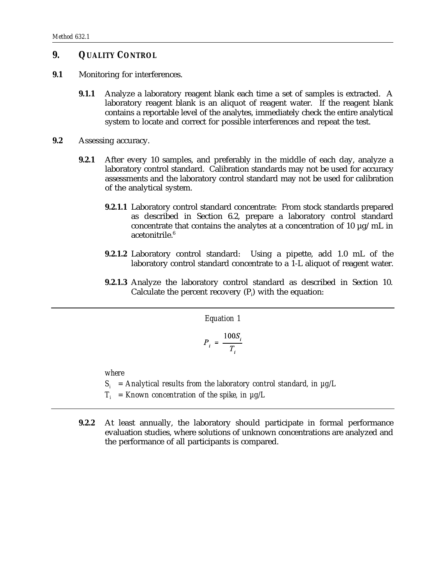## *9. QUALITY CONTROL*

- **9.1** Monitoring for interferences.
	- **9.1.1** Analyze a laboratory reagent blank each time a set of samples is extracted. A laboratory reagent blank is an aliquot of reagent water. If the reagent blank contains a reportable level of the analytes, immediately check the entire analytical system to locate and correct for possible interferences and repeat the test.
- **9.2** Assessing accuracy.
	- **9.2.1** After every 10 samples, and preferably in the middle of each day, analyze a laboratory control standard. Calibration standards may not be used for accuracy assessments and the laboratory control standard may not be used for calibration of the analytical system.
		- **9.2.1.1** Laboratory control standard concentrate: From stock standards prepared as described in Section 6.2, prepare a laboratory control standard concentrate that contains the analytes at a concentration of 10 µg/mL in acetonitrile.<sup>6</sup>
		- **9.2.1.2** Laboratory control standard: Using a pipette, add 1.0 mL of the laboratory control standard concentrate to a 1-L aliquot of reagent water.
		- **9.2.1.3** Analyze the laboratory control standard as described in Section 10. Calculate the percent recovery  $(P_i)$  with the equation:

*Equation 1*

$$
P_i = \frac{100S_i}{T_i}
$$

*where*

- $S_i$  = Analytical results from the laboratory control standard, in  $\mu$ g/L
- $T_i$  = Known concentration of the spike, in  $\mu$ g/L
- **9.2.2** At least annually, the laboratory should participate in formal performance evaluation studies, where solutions of unknown concentrations are analyzed and the performance of all participants is compared.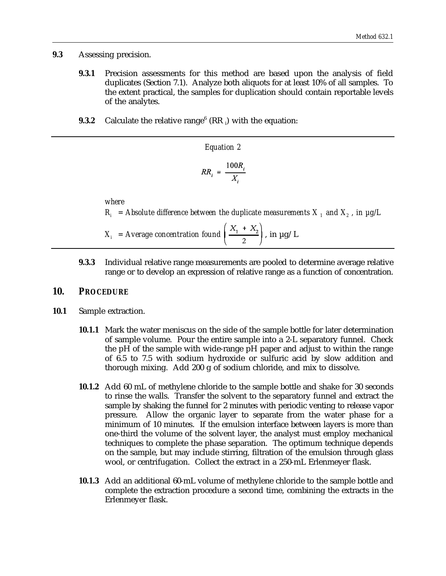**9.3** Assessing precision.

- **9.3.1** Precision assessments for this method are based upon the analysis of field duplicates (Section 7.1). Analyze both aliquots for at least 10% of all samples. To the extent practical, the samples for duplication should contain reportable levels of the analytes.
- **9.3.2** Calculate the relative range $^6$  (RR  $_i$ ) with the equation:

Equation 2  

$$
RR_i = \frac{100R_i}{X_i}
$$

*where*  $R_i$  = Absolute difference between the duplicate measurements  $X_i$  and  $X_i$ , in  $\mu$ g/L

 $X_i$  = Average concentration found  $\left(\frac{X_1 + X_2}{2}\right)$ , in  $\mu$ g/L

**9.3.3** Individual relative range measurements are pooled to determine average relative range or to develop an expression of relative range as a function of concentration.

#### *10. PROCEDURE*

- **10.1** Sample extraction.
	- **10.1.1** Mark the water meniscus on the side of the sample bottle for later determination of sample volume. Pour the entire sample into a 2-L separatory funnel. Check the pH of the sample with wide-range pH paper and adjust to within the range of 6.5 to 7.5 with sodium hydroxide or sulfuric acid by slow addition and thorough mixing. Add 200 g of sodium chloride, and mix to dissolve.
	- **10.1.2** Add 60 mL of methylene chloride to the sample bottle and shake for 30 seconds to rinse the walls. Transfer the solvent to the separatory funnel and extract the sample by shaking the funnel for 2 minutes with periodic venting to release vapor pressure. Allow the organic layer to separate from the water phase for a minimum of 10 minutes. If the emulsion interface between layers is more than one-third the volume of the solvent layer, the analyst must employ mechanical techniques to complete the phase separation. The optimum technique depends on the sample, but may include stirring, filtration of the emulsion through glass wool, or centrifugation. Collect the extract in a 250-mL Erlenmeyer flask.
	- **10.1.3** Add an additional 60-mL volume of methylene chloride to the sample bottle and complete the extraction procedure a second time, combining the extracts in the Erlenmeyer flask.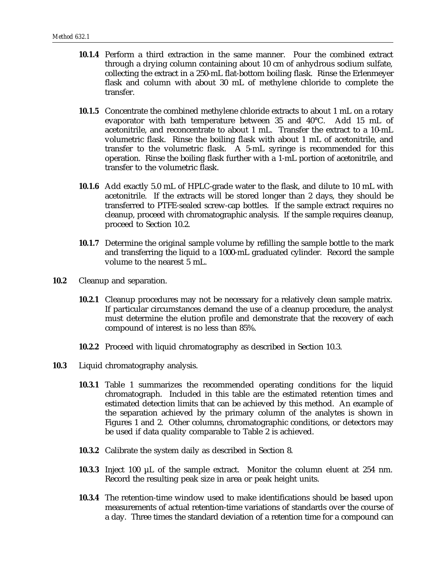- **10.1.4** Perform a third extraction in the same manner. Pour the combined extract through a drying column containing about 10 cm of anhydrous sodium sulfate, collecting the extract in a 250-mL flat-bottom boiling flask. Rinse the Erlenmeyer flask and column with about 30 mL of methylene chloride to complete the transfer.
- **10.1.5** Concentrate the combined methylene chloride extracts to about 1 mL on a rotary evaporator with bath temperature between 35 and 40°C. Add 15 mL of acetonitrile, and reconcentrate to about 1 mL. Transfer the extract to a 10-mL volumetric flask. Rinse the boiling flask with about 1 mL of acetonitrile, and transfer to the volumetric flask. A 5-mL syringe is recommended for this operation. Rinse the boiling flask further with a 1-mL portion of acetonitrile, and transfer to the volumetric flask.
- **10.1.6** Add exactly 5.0 mL of HPLC-grade water to the flask, and dilute to 10 mL with acetonitrile. If the extracts will be stored longer than 2 days, they should be transferred to PTFE-sealed screw-cap bottles. If the sample extract requires no cleanup, proceed with chromatographic analysis. If the sample requires cleanup, proceed to Section 10.2.
- **10.1.7** Determine the original sample volume by refilling the sample bottle to the mark and transferring the liquid to a 1000-mL graduated cylinder. Record the sample volume to the nearest 5 mL.
- **10.2** Cleanup and separation.
	- **10.2.1** Cleanup procedures may not be necessary for a relatively clean sample matrix. If particular circumstances demand the use of a cleanup procedure, the analyst must determine the elution profile and demonstrate that the recovery of each compound of interest is no less than 85%.
	- **10.2.2** Proceed with liquid chromatography as described in Section 10.3.
- **10.3** Liquid chromatography analysis.
	- **10.3.1** Table 1 summarizes the recommended operating conditions for the liquid chromatograph. Included in this table are the estimated retention times and estimated detection limits that can be achieved by this method. An example of the separation achieved by the primary column of the analytes is shown in Figures 1 and 2. Other columns, chromatographic conditions, or detectors may be used if data quality comparable to Table 2 is achieved.
	- **10.3.2** Calibrate the system daily as described in Section 8.
	- **10.3.3** Inject 100 µL of the sample extract. Monitor the column eluent at 254 nm. Record the resulting peak size in area or peak height units.
	- **10.3.4** The retention-time window used to make identifications should be based upon measurements of actual retention-time variations of standards over the course of a day. Three times the standard deviation of a retention time for a compound can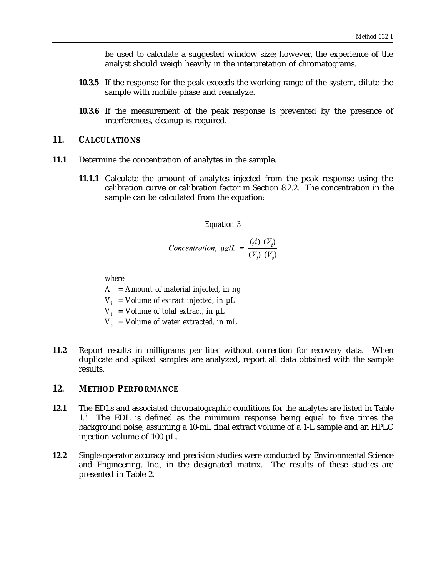be used to calculate a suggested window size; however, the experience of the analyst should weigh heavily in the interpretation of chromatograms.

- **10.3.5** If the response for the peak exceeds the working range of the system, dilute the sample with mobile phase and reanalyze.
- **10.3.6** If the measurement of the peak response is prevented by the presence of interferences, cleanup is required.

#### *11. CALCULATIONS*

- **11.1** Determine the concentration of analytes in the sample.
	- **11.1.1** Calculate the amount of analytes injected from the peak response using the calibration curve or calibration factor in Section 8.2.2. The concentration in the sample can be calculated from the equation:

#### *Equation 3*

Concentration, µg/L = 
$$
\frac{(A) (V_i)}{(V_i) (V_s)}
$$

*where*

*A = Amount of material injected, in ng*

 $V_i$  = Volume of extract injected, in  $\mu L$ 

 $V_t$  = Volume of total extract, in  $\mu L$ 

- $V_s$  = Volume of water extracted, in mL
- **11.2** Report results in milligrams per liter without correction for recovery data. When duplicate and spiked samples are analyzed, report all data obtained with the sample results.

### *12. METHOD PERFORMANCE*

- **12.1** The EDLs and associated chromatographic conditions for the analytes are listed in Table  $1<sup>7</sup>$  The EDL is defined as the minimum response being equal to five times the background noise, assuming a 10-mL final extract volume of a 1-L sample and an HPLC injection volume of 100 µL.
- **12.2** Single-operator accuracy and precision studies were conducted by Environmental Science and Engineering, Inc., in the designated matrix. The results of these studies are presented in Table 2.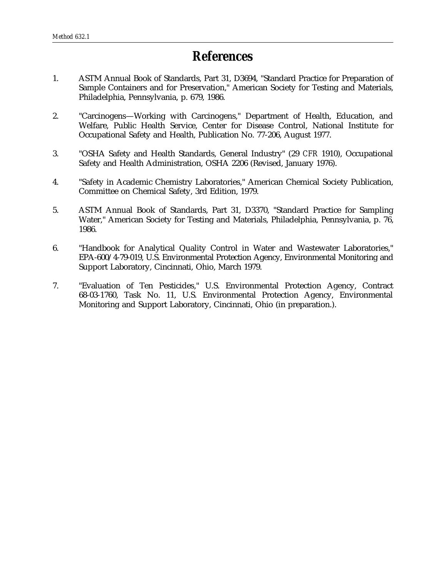# *References*

- 1. ASTM Annual Book of Standards, Part 31, D3694, "Standard Practice for Preparation of Sample Containers and for Preservation," American Society for Testing and Materials, Philadelphia, Pennsylvania, p. 679, 1986.
- 2. "Carcinogens—Working with Carcinogens," Department of Health, Education, and Welfare, Public Health Service, Center for Disease Control, National Institute for Occupational Safety and Health, Publication No. 77-206, August 1977.
- 3. "OSHA Safety and Health Standards, General Industry" (29 *CFR* 1910), Occupational Safety and Health Administration, OSHA 2206 (Revised, January 1976).
- 4. "Safety in Academic Chemistry Laboratories," American Chemical Society Publication, Committee on Chemical Safety, 3rd Edition, 1979.
- 5. ASTM Annual Book of Standards, Part 31, D3370, "Standard Practice for Sampling Water," American Society for Testing and Materials, Philadelphia, Pennsylvania, p. 76, 1986.
- 6. "Handbook for Analytical Quality Control in Water and Wastewater Laboratories," EPA-600/4-79-019, U.S. Environmental Protection Agency, Environmental Monitoring and Support Laboratory, Cincinnati, Ohio, March 1979.
- 7. "Evaluation of Ten Pesticides," U.S. Environmental Protection Agency, Contract 68-03-1760, Task No. 11, U.S. Environmental Protection Agency, Environmental Monitoring and Support Laboratory, Cincinnati, Ohio (in preparation.).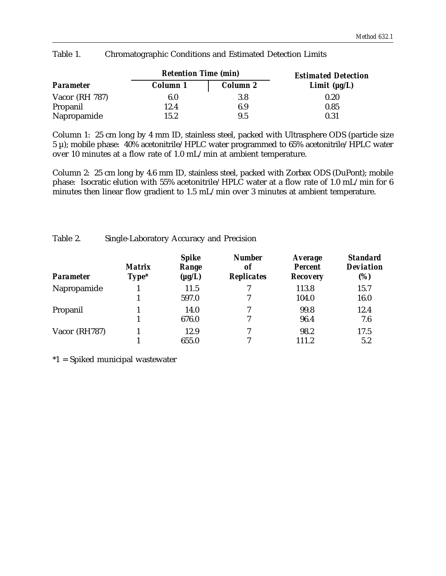|                  | <b>Retention Time (min)</b> |                 | <b>Estimated Detection</b> |
|------------------|-----------------------------|-----------------|----------------------------|
| <b>Parameter</b> | Column 1                    | <b>Column 2</b> | Limit $(\mu g/L)$          |
| Vacor (RH 787)   | 6.0                         | 3.8             | 0.20                       |
| Propanil         | 12.4                        | 6.9             | 0.85                       |
| Napropamide      | 15.2                        | 9.5             | 0.31                       |

Table 1. Chromatographic Conditions and Estimated Detection Limits

Column 1: 25 cm long by 4 mm ID, stainless steel, packed with Ultrasphere ODS (particle size  $5 \mu$ ); mobile phase:  $40\%$  acetonitrile/HPLC water programmed to  $65\%$  acetonitrile/HPLC water over 10 minutes at a flow rate of 1.0 mL/min at ambient temperature.

Column 2: 25 cm long by 4.6 mm ID, stainless steel, packed with Zorbax ODS (DuPont); mobile phase: Isocratic elution with 55% acetonitrile/HPLC water at a flow rate of 1.0 mL/min for 6 minutes then linear flow gradient to 1.5 mL/min over 3 minutes at ambient temperature.

Table 2. Single-Laboratory Accuracy and Precision

| <b>Parameter</b> | <b>Matrix</b><br>$Type*$ | <b>Spike</b><br>Range<br>$(\mu g/L)$ | <b>Number</b><br>of<br><b>Replicates</b> | <b>Average</b><br><b>Percent</b><br><b>Recovery</b> | <b>Standard</b><br><b>Deviation</b><br>(%) |
|------------------|--------------------------|--------------------------------------|------------------------------------------|-----------------------------------------------------|--------------------------------------------|
| Napropamide      |                          | 11.5                                 |                                          | 113.8                                               | 15.7                                       |
|                  |                          | 597.0                                |                                          | 104.0                                               | 16.0                                       |
| Propanil         |                          | 14.0                                 | 7                                        | 99.8                                                | 12.4                                       |
|                  |                          | 676.0                                | 7                                        | 96.4                                                | 7.6                                        |
| Vacor (RH787)    |                          | 12.9                                 | 7                                        | 98.2                                                | 17.5                                       |
|                  |                          | 655.0                                | 7                                        | 111.2                                               | 5.2                                        |

\*1 = Spiked municipal wastewater